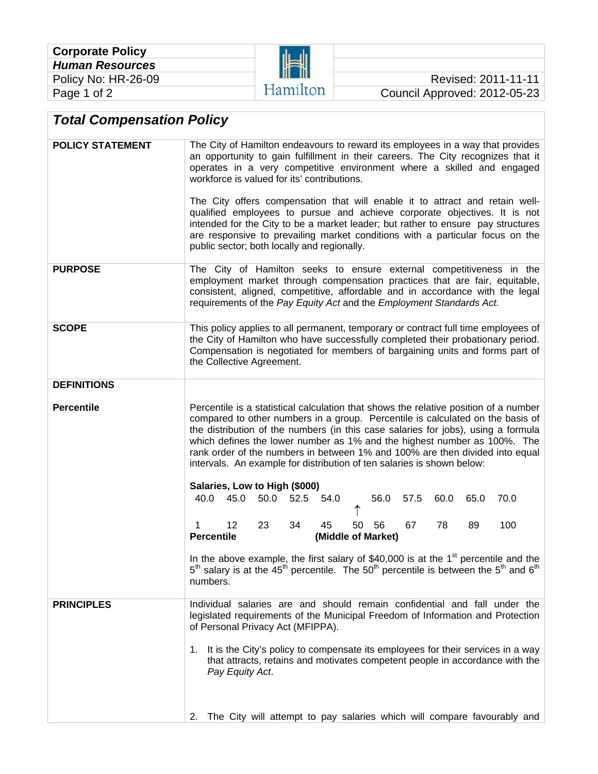

## Council Approved: 2012-05-23

## *Total Compensation Policy*

| <b>POLICY STATEMENT</b> | The City of Hamilton endeavours to reward its employees in a way that provides<br>an opportunity to gain fulfillment in their careers. The City recognizes that it<br>operates in a very competitive environment where a skilled and engaged<br>workforce is valued for its' contributions.<br>The City offers compensation that will enable it to attract and retain well-<br>qualified employees to pursue and achieve corporate objectives. It is not<br>intended for the City to be a market leader; but rather to ensure pay structures<br>are responsive to prevailing market conditions with a particular focus on the<br>public sector; both locally and regionally. |  |  |  |
|-------------------------|------------------------------------------------------------------------------------------------------------------------------------------------------------------------------------------------------------------------------------------------------------------------------------------------------------------------------------------------------------------------------------------------------------------------------------------------------------------------------------------------------------------------------------------------------------------------------------------------------------------------------------------------------------------------------|--|--|--|
| <b>PURPOSE</b>          | The City of Hamilton seeks to ensure external competitiveness in the<br>employment market through compensation practices that are fair, equitable,<br>consistent, aligned, competitive, affordable and in accordance with the legal<br>requirements of the Pay Equity Act and the Employment Standards Act.                                                                                                                                                                                                                                                                                                                                                                  |  |  |  |
| <b>SCOPE</b>            | This policy applies to all permanent, temporary or contract full time employees of<br>the City of Hamilton who have successfully completed their probationary period.<br>Compensation is negotiated for members of bargaining units and forms part of<br>the Collective Agreement.                                                                                                                                                                                                                                                                                                                                                                                           |  |  |  |
| <b>DEFINITIONS</b>      |                                                                                                                                                                                                                                                                                                                                                                                                                                                                                                                                                                                                                                                                              |  |  |  |
| <b>Percentile</b>       | Percentile is a statistical calculation that shows the relative position of a number<br>compared to other numbers in a group. Percentile is calculated on the basis of<br>the distribution of the numbers (in this case salaries for jobs), using a formula<br>which defines the lower number as 1% and the highest number as 100%. The<br>rank order of the numbers in between 1% and 100% are then divided into equal<br>intervals. An example for distribution of ten salaries is shown below:                                                                                                                                                                            |  |  |  |
|                         | Salaries, Low to High (\$000)<br>45.0<br>50.0<br>52.5 54.0<br>56.0<br>40.0<br>57.5<br>60.0<br>65.0<br>70.0                                                                                                                                                                                                                                                                                                                                                                                                                                                                                                                                                                   |  |  |  |
|                         | 23<br>45<br>78<br>$12 \overline{ }$<br>34<br>50<br>56<br>67<br>89<br>100<br>1<br><b>Percentile</b><br>(Middle of Market)                                                                                                                                                                                                                                                                                                                                                                                                                                                                                                                                                     |  |  |  |
|                         | In the above example, the first salary of \$40,000 is at the $1st$ percentile and the<br>$5th$ salary is at the 45 <sup>th</sup> percentile. The 50 <sup>th</sup> percentile is between the 5 <sup>th</sup> and 6 <sup>th</sup><br>numbers.                                                                                                                                                                                                                                                                                                                                                                                                                                  |  |  |  |
| <b>PRINCIPLES</b>       | Individual salaries are and should remain confidential and fall under the<br>legislated requirements of the Municipal Freedom of Information and Protection<br>of Personal Privacy Act (MFIPPA).<br>It is the City's policy to compensate its employees for their services in a way<br>1.<br>that attracts, retains and motivates competent people in accordance with the<br>Pay Equity Act.                                                                                                                                                                                                                                                                                 |  |  |  |
|                         |                                                                                                                                                                                                                                                                                                                                                                                                                                                                                                                                                                                                                                                                              |  |  |  |
|                         | The City will attempt to pay salaries which will compare favourably and<br>2.                                                                                                                                                                                                                                                                                                                                                                                                                                                                                                                                                                                                |  |  |  |